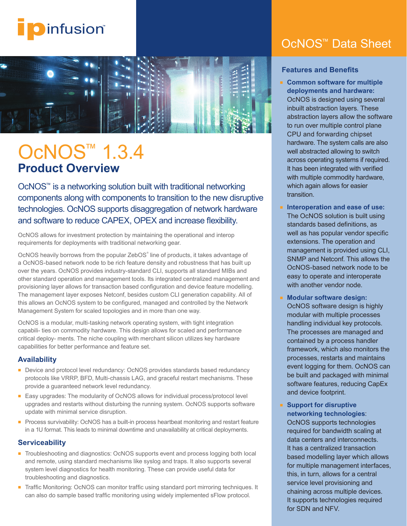



# OcNOS™ 1.3.4 **Product Overview**

OcNOS™ is a networking solution built with traditional networking components along with components to transition to the new disruptive technologies. OcNOS supports disaggregation of network hardware and software to reduce CAPEX, OPEX and increase flexibility.

OcNOS allows for investment protection by maintaining the operational and interop requirements for deployments with traditional networking gear.

OcNOS heavily borrows from the popular ZebOS<sup>®</sup> line of products, it takes advantage of a OcNOS-based network node to be rich feature density and robustness that has built up over the years. OcNOS provides industry-standard CLI, supports all standard MIBs and other standard operation and management tools. Its integrated centralized management and provisioning layer allows for transaction based configuration and device feature modelling. The management layer exposes Netconf, besides custom CLI generation capability. All of this allows an OcNOS system to be configured, managed and controlled by the Network Management System for scaled topologies and in more than one way.

OcNOS is a modular, multi-tasking network operating system, with tight integration capabili- ties on commodity hardware. This design allows for scaled and performance critical deploy- ments. The niche coupling with merchant silicon utilizes key hardware capabilities for better performance and feature set.

#### **Availability**

- Device and protocol level redundancy: OcNOS provides standards based redundancy protocols like VRRP, BFD, Multi-chassis LAG, and graceful restart mechanisms. These provide a guaranteed network level redundancy.
- Easy upgrades: The modularity of OcNOS allows for individual process/protocol level upgrades and restarts without disturbing the running system. OcNOS supports software update with minimal service disruption.
- Process survivability: OcNOS has a built-in process heartbeat monitoring and restart feature in a 1U format. This leads to minimal downtime and unavailability at critical deployments.

#### **Serviceability**

- Troubleshooting and diagnostics: OcNOS supports event and process logging both local and remote, using standard mechanisms like syslog and traps. It also supports several system level diagnostics for health monitoring. These can provide useful data for troubleshooting and diagnostics.
- Traffic Monitoring: OcNOS can monitor traffic using standard port mirroring techniques. It can also do sample based traffic monitoring using widely implemented sFlow protocol.

## OcNOS™ Data Sheet

#### **Features and Benefits**

**Common software for multiple deployments and hardware:**

OcNOS is designed using several inbuilt abstraction layers. These abstraction layers allow the software to run over multiple control plane CPU and forwarding chipset hardware. The system calls are also well abstracted allowing to switch across operating systems if required. It has been integrated with verified with multiple commodity hardware, which again allows for easier transition.

- **Interoperation and ease of use:** The OcNOS solution is built using standards based definitions, as well as has popular vendor specific extensions. The operation and management is provided using CLI, SNMP and Netconf. This allows the OcNOS-based network node to be easy to operate and interoperate with another vendor node.
- **Modular software design:** OcNOS software design is highly modular with multiple processes handling individual key protocols. The processes are managed and contained by a process handler framework, which also monitors the processes, restarts and maintains event logging for them. OcNOS can be built and packaged with minimal software features, reducing CapEx and device footprint.

**Support for disruptive networking technologies**: OcNOS supports technologies required for bandwidth scaling at data centers and interconnects. It has a centralized transaction based modelling layer which allows for multiple management interfaces, this, in turn, allows for a central service level provisioning and chaining across multiple devices. It supports technologies required for SDN and NFV.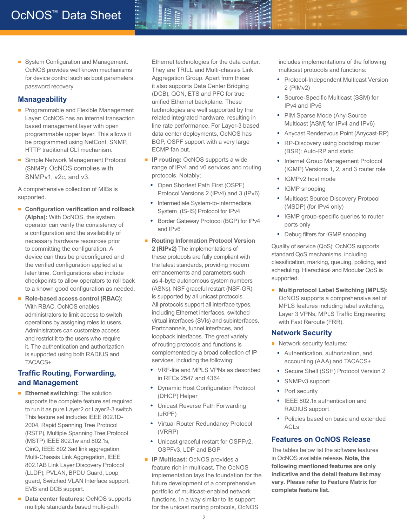■ System Configuration and Management: OcNOS provides well known mechanisms for device control such as boot parameters, password recovery.

#### **Manageability**

- Programmable and Flexible Management Layer: OcNOS has an internal transaction based management layer with open programmable upper layer. This allows it be programmed using NetConf, SNMP, HTTP traditional CLI mechanism.
- Simple Network Management Protocol (SNMP): OcNOS complies with SNMPv1, v2c, and v3.

A comprehensive collection of MIBs is supported.

- **Configuration verification and rollback (Alpha):** With OcNOS, the system operator can verify the consistency of a configuration and the availability of necessary hardware resources prior to committing the configuration. A device can thus be preconfigured and the verified configuration applied at a later time. Configurations also include checkpoints to allow operators to roll back to a known good configuration as needed.
- **Role-based access control (RBAC):** With RBAC, OcNOS enables administrators to limit access to switch operations by assigning roles to users. Administrators can customize access and restrict it to the users who require it. The authentication and authorization is supported using both RADIUS and TACACS+.

#### **Traffic Routing, Forwarding, and Management**

- **Ethernet switching:** The solution supports the complete feature set required to run it as pure Layer2 or Layer2-3 switch. This feature set includes IEEE 802.1D-2004, Rapid Spanning Tree Protocol (RSTP), Multiple Spanning Tree Protocol (MSTP) IEEE 802.1w and 802.1s, QinQ, IEEE 802.3ad link aggregation, Multi-Chassis Link Aggregation, IEEE 802.1AB Link Layer Discovery Protocol (LLDP), PVLAN, BPDU Guard, Loop guard, Switched VLAN Interface support, EVB and DCB support.
- **Data center features: OcNOS supports** multiple standards based multi-path

Ethernet technologies for the data center. They are TRILL and Multi-chassis Link Aggregation Group. Apart from these it also supports Data Center Bridging (DCB), QCN, ETS and PFC for true unified Ethernet backplane. These technologies are well supported by the related integrated hardware, resulting in line rate performance. For Layer-3 based data center deployments, OcNOS has BGP, OSPF support with a very large ECMP fan out.

- **IP routing: OcNOS supports a wide** range of IPv4 and v6 services and routing protocols. Notably;
	- **•** Open Shortest Path First (OSPF) Protocol Versions 2 (IPv4) and 3 (IPv6)
	- **•** Intermediate System-to-Intermediate System (IS-IS) Protocol for IPv4
	- **•** Border Gateway Protocol (BGP) for IPv4 and IPv6
- **Routing Information Protocol Version 2 (RIPv2)** The implementations of these protocols are fully compliant with the latest standards, providing modern enhancements and parameters such as 4-byte autonomous system numbers (ASNs), NSF graceful restart (NSF-GR) is supported by all unicast protocols. All protocols support all interface types, including Ethernet interfaces, switched virtual interfaces (SVIs) and subinterfaces, Portchannels, tunnel interfaces, and loopback interfaces. The great variety of routing protocols and functions is complemented by a broad collection of IP services, including the following:
	- **•** VRF-lite and MPLS VPNs as described in RFCs 2547 and 4364
	- **•** Dynamic Host Configuration Protocol (DHCP) Helper
	- **•** Unicast Reverse Path Forwarding (uRPF)
	- **•** Virtual Router Redundancy Protocol (VRRP)
	- **•** Unicast graceful restart for OSPFv2, OSPFv3, LDP and BGP
- **IP Multicast:** OcNOS provides a feature rich in multicast. The OcNOS implementation lays the foundation for the future development of a comprehensive portfolio of multicast-enabled network functions. In a way similar to its support for the unicast routing protocols, OcNOS

includes implementations of the following multicast protocols and functions:

- **•** Protocol-Independent Multicast Version 2 (PIMv2)
- **•** Source-Specific Multicast (SSM) for IPv4 and IPv6
- **•** PIM Sparse Mode (Any-Source Multicast [ASM] for IPv4 and IPv6)
- **•** Anycast Rendezvous Point (Anycast-RP)
- **•** RP-Discovery using bootstrap router (BSR): Auto-RP and static
- **•** Internet Group Management Protocol (IGMP) Versions 1, 2, and 3 router role
- **•** IGMPv2 host mode
- **•** IGMP snooping
- **•** Multicast Source Discovery Protocol (MSDP) (for IPv4 only)
- **•** IGMP group-specific queries to router ports only
- **•** Debug filters for IGMP snooping

Quality of service (QoS): OcNOS supports standard QoS mechanisms, including classification, marking, queuing, policing, and scheduling. Hierachical and Modular QoS is supported.

■ **Multiprotocol Label Switching (MPLS):** OcNOS supports a comprehensive set of MPLS features including label switching, Layer 3 VPNs, MPLS Traffic Engineering with Fast Reroute (FRR).

#### **Network Security**

- Network security features:
	- **•** Authentication, authorization, and accounting (AAA) and TACACS+
	- **•** Secure Shell (SSH) Protocol Version 2
	- **•** SNMPv3 support
	- **•** Port security
	- **•** IEEE 802.1x authentication and RADIUS support
	- **•** Policies based on basic and extended ACL<sub>S</sub>

#### **Features on OcNOS Release**

The tables below list the software features in OcNOS available release. **Note, the following mentioned features are only indicative and the detail feature list may vary. Please refer to Feature Matrix for complete feature list.**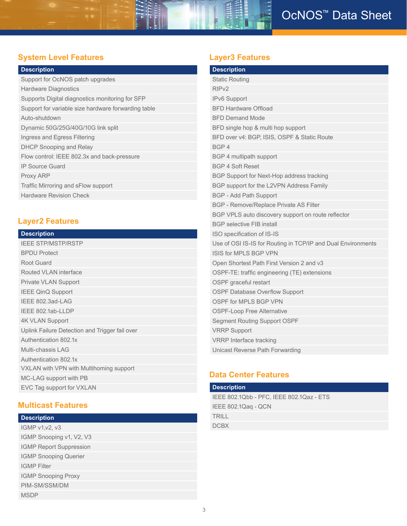### **System Level Features Layer3 Features**

| <b>Description</b>                                  |
|-----------------------------------------------------|
| Support for OcNOS patch upgrades                    |
| <b>Hardware Diagnostics</b>                         |
| Supports Digital diagnostics monitoring for SFP     |
| Support for variable size hardware forwarding table |
| Auto-shutdown                                       |
| Dynamic 50G/25G/40G/10G link split                  |
| Ingress and Egress Filtering                        |
| <b>DHCP Snooping and Relay</b>                      |
| Flow control: IEEE 802.3x and back-pressure         |
| <b>IP Source Guard</b>                              |
| Proxy ARP                                           |
| Traffic Mirroring and sFlow support                 |
| <b>Hardware Revision Check</b>                      |

### **Layer2 Features**

| <b>Description</b> |  |  |
|--------------------|--|--|
|                    |  |  |

| <b>IEEE STP/MSTP/RSTP</b>                      |
|------------------------------------------------|
| <b>BPDU Protect</b>                            |
| Root Guard                                     |
| Routed VLAN interface                          |
| <b>Private VLAN Support</b>                    |
| <b>IEEE QinQ Support</b>                       |
| IEEE 802.3ad-LAG                               |
| IEEE 802.1ab-LLDP                              |
| <b>4K VLAN Support</b>                         |
| Uplink Failure Detection and Trigger fail over |
| Authentication 802.1x                          |
| Multi-chassis LAG                              |
| Authentication 802.1x                          |
| VXLAN with VPN with Multihoming support        |
| MC-LAG support with PB                         |
| EVC Tag support for VXLAN                      |

### **Multicast Features**

### **Description**

| <b>IGMP v1.v2. v3</b>          |
|--------------------------------|
| IGMP Snooping v1, V2, V3       |
| <b>IGMP Report Suppression</b> |
| <b>IGMP Snooping Querier</b>   |
| <b>IGMP</b> Filter             |
| <b>IGMP Snooping Proxy</b>     |
| PIM-SM/SSM/DM                  |
| <b>MSDP</b>                    |

| <b>Description</b>                                           |
|--------------------------------------------------------------|
| <b>Static Routing</b>                                        |
| RIP <sub>v2</sub>                                            |
| IPv6 Support                                                 |
| <b>BFD Hardware Offload</b>                                  |
| <b>BFD Demand Mode</b>                                       |
| BFD single hop & multi hop support                           |
| BFD over v4: BGP, ISIS, OSPF & Static Route                  |
| BGP4                                                         |
| BGP 4 multipath support                                      |
| <b>BGP 4 Soft Reset</b>                                      |
| BGP Support for Next-Hop address tracking                    |
| BGP support for the L2VPN Address Family                     |
| <b>BGP - Add Path Support</b>                                |
| BGP - Remove/Replace Private AS Filter                       |
| BGP VPLS auto discovery support on route reflector           |
| <b>BGP</b> selective FIB install                             |
| ISO specification of IS-IS                                   |
| Use of OSI IS-IS for Routing in TCP/IP and Dual Environments |
| ISIS for MPI S BGP VPN                                       |
| Open Shortest Path First Version 2 and v3                    |
| OSPF-TE: traffic engineering (TE) extensions                 |
| OSPF graceful restart                                        |
| <b>OSPF Database Overflow Support</b>                        |
| OSPF for MPLS BGP VPN                                        |
| <b>OSPF-Loop Free Alternative</b>                            |
| <b>Segment Routing Support OSPF</b>                          |
| <b>VRRP Support</b>                                          |
| <b>VRRP</b> Interface tracking                               |
| Unicast Reverse Path Forwarding                              |

### **Data Center Features**

| <b>Description</b>                       |
|------------------------------------------|
| IEEE 802.1Qbb - PFC, IEEE 802.1Qaz - ETS |
| IEEE 802.1Qag - QCN                      |
| <b>TRILL</b>                             |
| <b>DCBX</b>                              |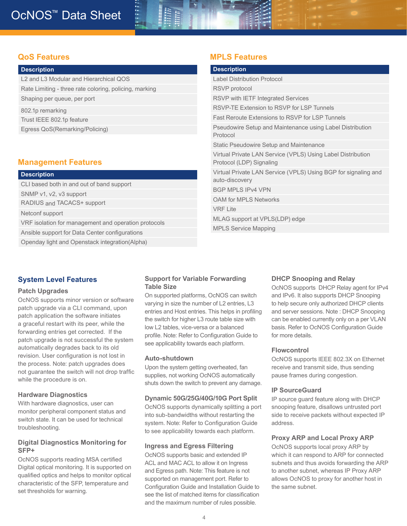#### **QoS Features**

| <b>Description</b> |  |
|--------------------|--|
|                    |  |

L2 and L3 Modular and Hierarchical QOS Rate Limiting - three rate coloring, policing, marking Shaping per queue, per port 802.1p remarking

Trust IEEE 802.1p feature

Egress QoS(Remarking/Policing)

#### **Management Features**

| <b>Description</b>                                   |
|------------------------------------------------------|
| CLI based both in and out of band support            |
| SNMP v1, v2, v3 support                              |
| RADIUS and TACACS+ support                           |
| Netconf support                                      |
| VRF isolation for management and operation protocols |
| Ansible support for Data Center configurations       |
| Openday light and Openstack integration (Alpha)      |

### **System Level Features**

#### **Patch Upgrades**

OcNOS supports minor version or software patch upgrade via a CLI command, upon patch application the software initiates a graceful restart with its peer, while the forwarding entries get corrected. If the patch upgrade is not successful the system automatically degrades back to its old revision. User configuration is not lost in the process. Note: patch upgrades does not guarantee the switch will not drop traffic while the procedure is on.

#### **Hardware Diagnostics**

With hardware diagnostics, user can monitor peripheral component status and switch state. It can be used for technical troubleshooting.

#### **Digital Diagnostics Monitoring for SFP+**

OcNOS supports reading MSA certified Digital optical monitoring. It is supported on qualified optics and helps to monitor optical characteristic of the SFP, temperature and set thresholds for warning.

### **Support for Variable Forwarding Table Size**

On supported platforms, OcNOS can switch varying in size the number of L2 entries, L3 entries and Host entries. This helps in profiling the switch for higher L3 route table size with low L2 tables, vice-versa or a balanced profile. Note: Refer to Configuration Guide to see applicability towards each platform.

#### **Auto-shutdown**

Upon the system getting overheated, fan supplies, not working OcNOS automatically shuts down the switch to prevent any damage.

#### **Dynamic 50G/25G/40G/10G Port Split**

OcNOS supports dynamically splitting a port into sub-bandwidths without restarting the system. Note: Refer to Configuration Guide to see applicability towards each platform.

#### **Ingress and Egress Filtering**

OcNOS supports basic and extended IP ACL and MAC ACL to allow it on Ingress and Egress path. Note: This feature is not supported on management port. Refer to Configuration Guide and Installation Guide to see the list of matched items for classification and the maximum number of rules possible.

### **MPLS Features**

| <b>Description</b>                                                                      |
|-----------------------------------------------------------------------------------------|
| <b>Label Distribution Protocol</b>                                                      |
| <b>RSVP</b> protocol                                                                    |
| RSVP with IETF Integrated Services                                                      |
| RSVP-TE Extension to RSVP for LSP Tunnels                                               |
| <b>Fast Reroute Extensions to RSVP for LSP Tunnels</b>                                  |
| Pseudowire Setup and Maintenance using Label Distribution<br>Protocol                   |
| Static Pseudowire Setup and Maintenance                                                 |
| Virtual Private LAN Service (VPLS) Using Label Distribution<br>Protocol (LDP) Signaling |
| Virtual Private LAN Service (VPLS) Using BGP for signaling and<br>auto-discovery        |
| <b>BGP MPLS IPv4 VPN</b>                                                                |
| <b>OAM for MPLS Networks</b>                                                            |
| <b>VRF Lite</b>                                                                         |
| MLAG support at VPLS(LDP) edge                                                          |
| <b>MPLS Service Mapping</b>                                                             |
|                                                                                         |

#### **DHCP Snooping and Relay**

OcNOS supports DHCP Relay agent for IPv4 and IPv6. It also supports DHCP Snooping to help secure only authorized DHCP clients and server sessions. Note : DHCP Snooping can be enabled currently only on a per VLAN basis. Refer to OcNOS Configuration Guide for more details.

#### **Flowcontrol**

OcNOS supports IEEE 802.3X on Ethernet receive and transmit side, thus sending pause frames during congestion.

#### **IP SourceGuard**

IP source guard feature along with DHCP snooping feature, disallows untrusted port side to receive packets without expected IP address.

#### **Proxy ARP and Local Proxy ARP**

OcNOS supports local proxy ARP by which it can respond to ARP for connected subnets and thus avoids forwarding the ARP to another subnet, whereas IP Proxy ARP allows OcNOS to proxy for another host in the same subnet.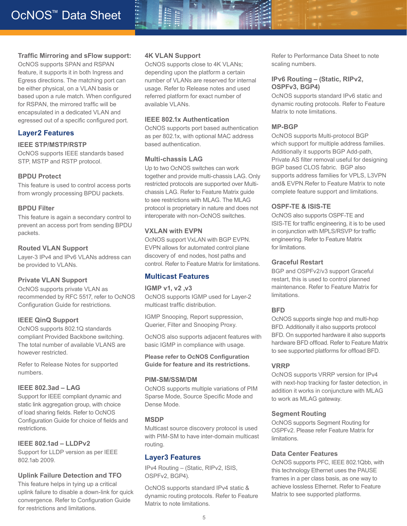#### **Traffic Mirroring and sFlow support:**

OcNOS supports SPAN and RSPAN feature, it supports it in both Ingress and Egress directions. The matching port can be either physical, on a VLAN basis or based upon a rule match. When configured for RSPAN, the mirrored traffic will be encapsulated in a dedicated VLAN and egressed out of a specific configured port.

#### **Layer2 Features**

#### **IEEE STP/MSTP/RSTP**

OcNOS supports IEEE standards based STP, MSTP and RSTP protocol.

#### **BPDU Protect**

This feature is used to control access ports from wrongly processing BPDU packets.

#### **BPDU Filter**

This feature is again a secondary control to prevent an access port from sending BPDU packets.

#### **Routed VLAN Support**

Layer-3 IPv4 and IPv6 VLANs address can be provided to VLANs.

#### **Private VLAN Support**

OcNOS supports private VLAN as recommended by RFC 5517, refer to OcNOS Configuration Guide for restrictions.

#### **IEEE QinQ Support**

OcNOS supports 802.1Q standards compliant Provided Backbone switching. The total number of available VLANS are however restricted.

Refer to Release Notes for supported numbers.

#### **IEEE 802.3ad – LAG**

Support for IEEE compliant dynamic and static link aggregation group, with choice of load sharing fields. Refer to OcNOS Configuration Guide for choice of fields and restrictions.

#### **IEEE 802.1ad – LLDPv2**

Support for LLDP version as per IEEE 802.1ab 2009.

#### **Uplink Failure Detection and TFO**

This feature helps in tying up a critical uplink failure to disable a down-link for quick convergence. Refer to Configuration Guide for restrictions and limitations.

#### **4K VLAN Support**

OcNOS supports close to 4K VLANs; depending upon the platform a certain number of VLANs are reserved for internal usage. Refer to Release notes and used referred platform for exact number of available VLANs.

#### **IEEE 802.1x Authentication**

OcNOS supports port based authentication as per 802.1x, with optional MAC address based authentication.

#### **Multi-chassis LAG**

Up to two OcNOS switches can work together and provide multi-chassis LAG. Only restricted protocols are supported over Multichassis LAG. Refer to Feature Matrix guide to see restrictions with MLAG. The MLAG protocol is proprietary in nature and does not interoperate with non-OcNOS switches.

#### **VXLAN with EVPN**

OcNOS support VxLAN with BGP EVPN. EVPN allows for automated control plane discovery of end nodes, host paths and control. Refer to Feature Matrix for limitations.

#### **Multicast Features**

#### **IGMP v1, v2 ,v3**

OcNOS supports IGMP used for Layer-2 multicast traffic distribution.

IGMP Snooping, Report suppression, Querier, Filter and Snooping Proxy.

OcNOS also supports adjacent features with basic IGMP in compliance with usage.

**Please refer to OcNOS Configuration Guide for feature and its restrictions.**

#### **PIM-SM/SSM/DM**

OcNOS supports multiple variations of PIM Sparse Mode, Source Specific Mode and Dense Mode.

#### **MSDP**

Multicast source discovery protocol is used with PIM-SM to have inter-domain multicast routing.

#### **Layer3 Features**

IPv4 Routing – (Static, RIPv2, ISIS, OSPFv2, BGP4).

OcNOS supports standard IPv4 static & dynamic routing protocols. Refer to Feature Matrix to note limitations.

Refer to Performance Data Sheet to note scaling numbers.

#### **IPv6 Routing – (Static, RIPv2, OSPFv3, BGP4)**

OcNOS supports standard IPv6 static and dynamic routing protocols. Refer to Feature Matrix to note limitations.

#### **MP-BGP**

OcNOS supports Multi-protocol BGP which support for multiple address families. Additionally it supports BGP Add-path, Private AS filter removal useful for designing BGP based CLOS fabric. BGP also supports address families for VPLS, L3VPN and& EVPN.Refer to Feature Matrix to note complete feature support and limitations.

#### **OSPF-TE & ISIS-TE**

OcNOS also supports OSPF-TE and ISIS-TE for traffic engineering, it is to be used in conjunction with MPLS/RSVP for traffic engineering. Refer to Feature Matrix for limitations.

#### **Graceful Restart**

BGP and OSPFv2/v3 support Graceful restart, this is used to control planned maintenance. Refer to Feature Matrix for limitations.

#### **BFD**

OcNOS supports single hop and multi-hop BFD. Additionally it also supports protocol BFD. On supported hardware it also supports hardware BFD offload. Refer to Feature Matrix to see supported platforms for offload BFD.

#### **VRRP**

OcNOS supports VRRP version for IPv4 with next-hop tracking for faster detection, in addition it works in conjuncture with MLAG to work as MLAG gateway.

#### **Segment Routing**

OcNOS supports Segment Routing for OSPFv2. Please refer Feature Matrix for limitations.

#### **Data Center Features**

OcNOS supports PFC, IEEE 802.1Qbb, with this technology Ethernet uses the PAUSE frames in a per class basis, as one way to achieve lossless Ethernet. Refer to Feature Matrix to see supported platforms.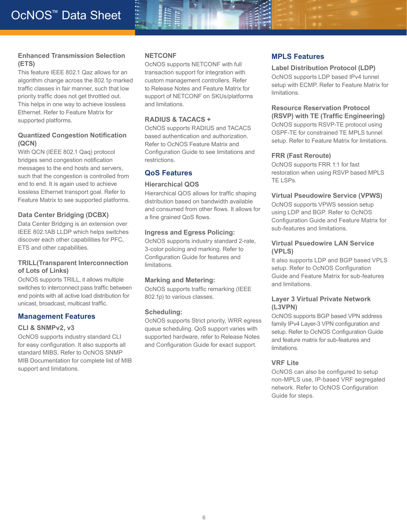#### **Enhanced Transmission Selection (ETS)**

This feature IEEE 802.1 Qaz allows for an algorithm change across the 802.1p marked traffic classes in fair manner, such that low priority traffic does not get throttled out. This helps in one way to achieve lossless Ethernet. Refer to Feature Matrix for supported platforms.

#### **Quantized Congestion Notification (QCN)**

With QCN (IEEE 802.1 Qaq) protocol bridges send congestion notification messages to the end hosts and servers, such that the congestion is controlled from end to end. It is again used to achieve lossless Ethernet transport goal. Refer to Feature Matrix to see supported platforms.

#### **Data Center Bridging (DCBX)**

Data Center Bridging is an extension over IEEE 802.1AB LLDP which helps switches discover each other capabilities for PFC, ETS and other capabilities.

#### **TRILL(Transparent Interconnection of Lots of Links)**

OcNOS supports TRILL, it allows multiple switches to interconnect pass traffic between end points with all active load distribution for unicast, broadcast, multicast traffic.

#### **Management Features**

#### **CLI & SNMPv2, v3**

OcNOS supports industry standard CLI for easy configuration. It also supports all standard MIBS, Refer to OcNOS SNMP MIB Documentation for complete list of MIB support and limitations.

#### **NETCONF**

OcNOS supports NETCONF with full transaction support for integration with custom management controllers. Refer to Release Notes and Feature Matrix for support of NETCONF on SKUs/platforms and limitations.

#### **RADIUS & TACACS +**

OcNOS supports RADIUS and TACACS based authentication and authorization. Refer to OcNOS Feature Matrix and Configuration Guide to see limitations and restrictions.

#### **QoS Features**

#### **Hierarchical QOS**

Hierarchical QOS allows for traffic shaping distribution based on bandwidth available and consumed from other flows. It allows for a fine grained QoS flows.

#### **Ingress and Egress Policing:**

OcNOS supports industry standard 2-rate, 3-color policing and marking. Refer to Configuration Guide for features and limitations.

#### **Marking and Metering:**

OcNOS supports traffic remarking (IEEE 802.1p) to various classes.

#### **Scheduling:**

OcNOS supports Strict priority, WRR egress queue scheduling. QoS support varies with supported hardware, refer to Release Notes and Configuration Guide for exact support.

#### **MPLS Features**

#### **Label Distribution Protocol (LDP)**

OcNOS supports LDP based IPv4 tunnel setup with ECMP. Refer to Feature Matrix for limitations.

#### **Resource Reservation Protocol (RSVP) with TE (Traffic Engineering)**

OcNOS supports RSVP-TE protocol using OSPF-TE for constrained TE MPLS tunnel setup. Refer to Feature Matrix for limitations.

#### **FRR (Fast Reroute)**

OcNOS supports FRR 1:1 for fast restoration when using RSVP based MPLS TE LSPs.

#### **Virtual Pseudowire Service (VPWS)**

OcNOS supports VPWS session setup using LDP and BGP. Refer to OcNOS Configuration Guide and Feature Matrix for sub-features and limitations.

#### **Virtual Psuedowire LAN Service (VPLS)**

It also supports LDP and BGP based VPLS setup. Refer to OcNOS Configuration Guide and Feature Matrix for sub-features and limitations.

#### **Layer 3 Virtual Private Network (L3VPN)**

OcNOS supports BGP based VPN address family IPv4 Layer-3 VPN configuration and setup. Refer to OcNOS Configuration Guide and feature matrix for sub-features and limitations.

#### **VRF Lite**

OcNOS can also be configured to setup non-MPLS use, IP-based VRF segregated network. Refer to OcNOS Configuration Guide for steps.